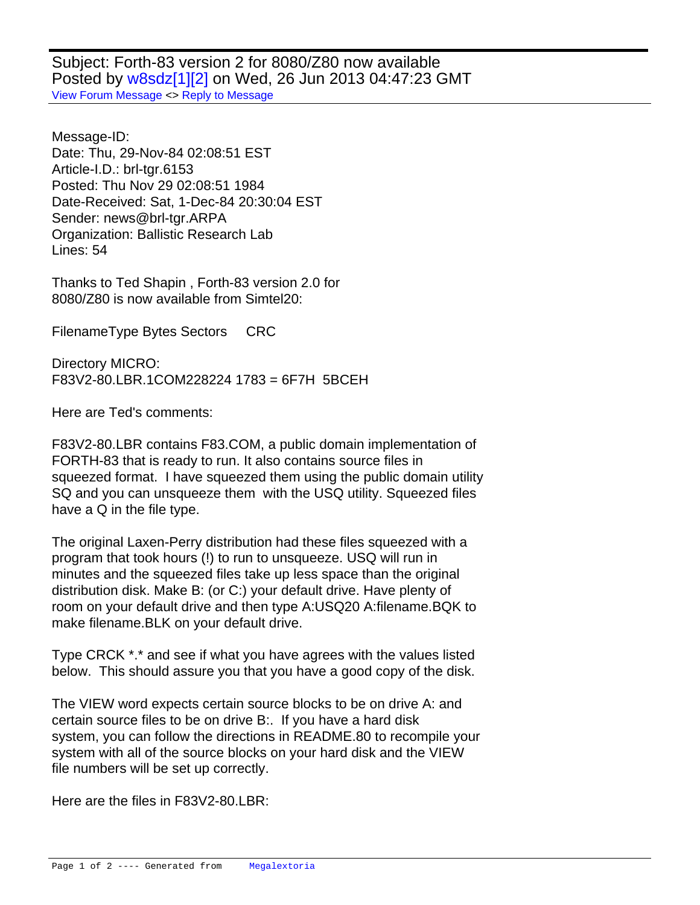Subject: Forth-83 version 2 for 8080/Z80 now available Posted by [w8sdz\[1\]\[2\]](http://www.megalextoria.com/forum2/index.php?t=usrinfo&id=5338) on Wed, 26 Jun 2013 04:47:23 GMT [View Forum Message](http://www.megalextoria.com/forum2/index.php?t=rview&th=41315&goto=91539#msg_91539) <> [Reply to Message](http://www.megalextoria.com/forum2/index.php?t=post&reply_to=91539)

Message-ID: Date: Thu, 29-Nov-84 02:08:51 EST Article-I.D.: brl-tgr.6153 Posted: Thu Nov 29 02:08:51 1984 Date-Received: Sat, 1-Dec-84 20:30:04 EST Sender: news@brl-tgr.ARPA Organization: Ballistic Research Lab Lines: 54

Thanks to Ted Shapin , Forth-83 version 2.0 for 8080/Z80 is now available from Simtel20:

Filename Type Bytes Sectors CRC

Directory MICRO: F83V2-80.LBR.1 COM 228224 1783 = 6F7H 5BCEH

Here are Ted's comments:

F83V2-80.LBR contains F83.COM, a public domain implementation of FORTH-83 that is ready to run. It also contains source files in squeezed format. I have squeezed them using the public domain utility SQ and you can unsqueeze them with the USQ utility. Squeezed files have a Q in the file type.

The original Laxen-Perry distribution had these files squeezed with a program that took hours (!) to run to unsqueeze. USQ will run in minutes and the squeezed files take up less space than the original distribution disk. Make B: (or C:) your default drive. Have plenty of room on your default drive and then type A:USQ20 A:filename.BQK to make filename.BLK on your default drive.

Type CRCK \*.\* and see if what you have agrees with the values listed below. This should assure you that you have a good copy of the disk.

The VIEW word expects certain source blocks to be on drive A: and certain source files to be on drive B:. If you have a hard disk system, you can follow the directions in README.80 to recompile your system with all of the source blocks on your hard disk and the VIEW file numbers will be set up correctly.

Here are the files in F83V2-80.LBR: